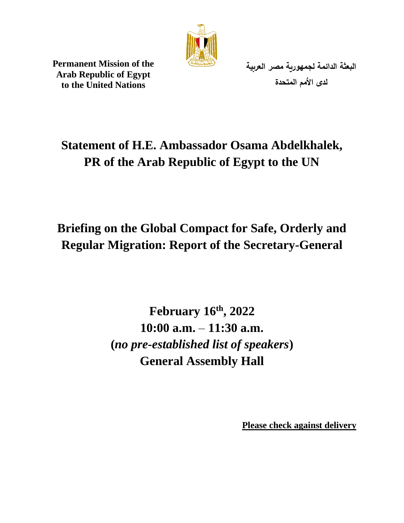

**Permanent Mission of the Arab Republic of Egypt to the United Nations**

**البعثة الدائمة لجمهورية مصر العربية لدى األمم المتحدة** 

## **Statement of H.E. Ambassador Osama Abdelkhalek, PR of the Arab Republic of Egypt to the UN**

# **Briefing on the Global Compact for Safe, Orderly and Regular Migration: Report of the Secretary-General**

**February 16th , 2022 10:00 a.m.** – **11:30 a.m. (***no pre-established list of speakers***) General Assembly Hall**

**Please check against delivery**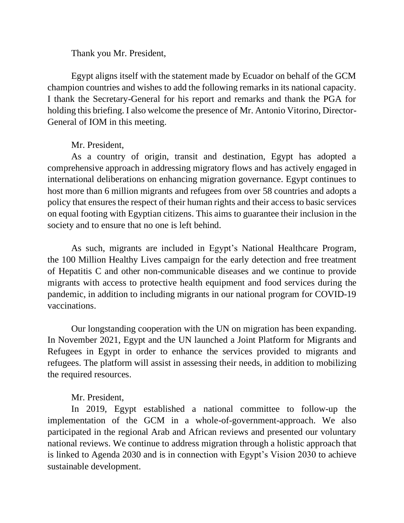Thank you Mr. President,

Egypt aligns itself with the statement made by Ecuador on behalf of the GCM champion countries and wishes to add the following remarks in its national capacity. I thank the Secretary-General for his report and remarks and thank the PGA for holding this briefing. I also welcome the presence of Mr. Antonio Vitorino, Director-General of IOM in this meeting.

#### Mr. President,

As a country of origin, transit and destination, Egypt has adopted a comprehensive approach in addressing migratory flows and has actively engaged in international deliberations on enhancing migration governance. Egypt continues to host more than 6 million migrants and refugees from over 58 countries and adopts a policy that ensures the respect of their human rights and their access to basic services on equal footing with Egyptian citizens. This aims to guarantee their inclusion in the society and to ensure that no one is left behind.

As such, migrants are included in Egypt's National Healthcare Program, the 100 Million Healthy Lives campaign for the early detection and free treatment of Hepatitis C and other non-communicable diseases and we continue to provide migrants with access to protective health equipment and food services during the pandemic, in addition to including migrants in our national program for COVID-19 vaccinations.

Our longstanding cooperation with the UN on migration has been expanding. In November 2021, Egypt and the UN launched a Joint Platform for Migrants and Refugees in Egypt in order to enhance the services provided to migrants and refugees. The platform will assist in assessing their needs, in addition to mobilizing the required resources.

### Mr. President,

In 2019, Egypt established a national committee to follow-up the implementation of the GCM in a whole-of-government-approach. We also participated in the regional Arab and African reviews and presented our voluntary national reviews. We continue to address migration through a holistic approach that is linked to Agenda 2030 and is in connection with Egypt's Vision 2030 to achieve sustainable development.